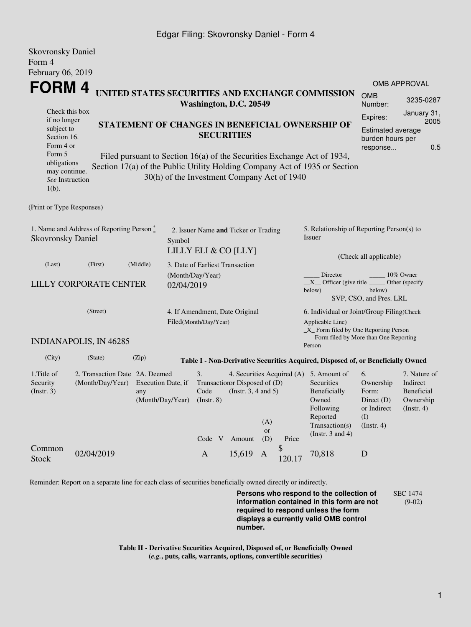## Edgar Filing: Skovronsky Daniel - Form 4

| <b>Skovronsky Daniel</b>                                                             |                                                    |                                               |                      |                                                                                                                  |        |           |                                                                                             |                                                                                             |                                   |                                        |  |
|--------------------------------------------------------------------------------------|----------------------------------------------------|-----------------------------------------------|----------------------|------------------------------------------------------------------------------------------------------------------|--------|-----------|---------------------------------------------------------------------------------------------|---------------------------------------------------------------------------------------------|-----------------------------------|----------------------------------------|--|
| Form 4                                                                               |                                                    |                                               |                      |                                                                                                                  |        |           |                                                                                             |                                                                                             |                                   |                                        |  |
| February 06, 2019                                                                    |                                                    |                                               |                      |                                                                                                                  |        |           |                                                                                             |                                                                                             |                                   |                                        |  |
|                                                                                      |                                                    |                                               |                      |                                                                                                                  |        |           |                                                                                             |                                                                                             |                                   | <b>OMB APPROVAL</b>                    |  |
| FORM 4<br>UNITED STATES SECURITIES AND EXCHANGE COMMISSION<br>Washington, D.C. 20549 |                                                    |                                               |                      |                                                                                                                  |        |           |                                                                                             | <b>OMB</b><br>Number:                                                                       | 3235-0287                         |                                        |  |
| Check this box                                                                       |                                                    |                                               |                      |                                                                                                                  |        |           |                                                                                             |                                                                                             | Expires:                          | January 31,                            |  |
| if no longer<br>subject to                                                           |                                                    |                                               |                      | STATEMENT OF CHANGES IN BENEFICIAL OWNERSHIP OF                                                                  |        |           |                                                                                             |                                                                                             | Estimated average                 | 2005                                   |  |
| Section 16.                                                                          |                                                    | <b>SECURITIES</b>                             |                      |                                                                                                                  |        |           | burden hours per                                                                            |                                                                                             |                                   |                                        |  |
| Form 4 or                                                                            |                                                    |                                               |                      |                                                                                                                  |        |           |                                                                                             |                                                                                             | 0.5<br>response                   |                                        |  |
| Form 5<br>obligations                                                                |                                                    |                                               |                      |                                                                                                                  |        |           |                                                                                             | Filed pursuant to Section 16(a) of the Securities Exchange Act of 1934,                     |                                   |                                        |  |
| may continue.                                                                        |                                                    |                                               |                      |                                                                                                                  |        |           |                                                                                             | Section 17(a) of the Public Utility Holding Company Act of 1935 or Section                  |                                   |                                        |  |
| See Instruction<br>$1(b)$ .                                                          |                                                    |                                               |                      | 30(h) of the Investment Company Act of 1940                                                                      |        |           |                                                                                             |                                                                                             |                                   |                                        |  |
| (Print or Type Responses)                                                            |                                                    |                                               |                      |                                                                                                                  |        |           |                                                                                             |                                                                                             |                                   |                                        |  |
| 1. Name and Address of Reporting Person *<br><b>Skovronsky Daniel</b><br>Symbol      |                                                    |                                               |                      | 2. Issuer Name and Ticker or Trading                                                                             |        |           |                                                                                             | 5. Relationship of Reporting Person(s) to<br>Issuer                                         |                                   |                                        |  |
|                                                                                      |                                                    |                                               | LILLY ELI & CO [LLY] |                                                                                                                  |        |           | (Check all applicable)                                                                      |                                                                                             |                                   |                                        |  |
| (Last)                                                                               | (First)                                            | (Middle)                                      |                      | 3. Date of Earliest Transaction                                                                                  |        |           |                                                                                             |                                                                                             |                                   |                                        |  |
|                                                                                      |                                                    |                                               |                      | (Month/Day/Year)                                                                                                 |        |           | Director<br>10% Owner<br>$X$ Officer (give title $\overline{\phantom{a}}$<br>Other (specify |                                                                                             |                                   |                                        |  |
|                                                                                      | <b>LILLY CORPORATE CENTER</b>                      |                                               | 02/04/2019           |                                                                                                                  |        |           |                                                                                             | below)                                                                                      | below)<br>SVP, CSO, and Pres. LRL |                                        |  |
|                                                                                      | (Street)                                           |                                               |                      |                                                                                                                  |        |           |                                                                                             |                                                                                             |                                   |                                        |  |
|                                                                                      |                                                    |                                               |                      | 4. If Amendment, Date Original<br>Filed(Month/Day/Year)                                                          |        |           |                                                                                             | 6. Individual or Joint/Group Filing(Check<br>Applicable Line)                               |                                   |                                        |  |
|                                                                                      | <b>INDIANAPOLIS, IN 46285</b>                      |                                               |                      |                                                                                                                  |        |           |                                                                                             | $\_X$ Form filed by One Reporting Person<br>Form filed by More than One Reporting<br>Person |                                   |                                        |  |
| (City)                                                                               | (State)                                            | (Zip)                                         |                      |                                                                                                                  |        |           |                                                                                             |                                                                                             |                                   |                                        |  |
|                                                                                      |                                                    |                                               |                      |                                                                                                                  |        |           |                                                                                             | Table I - Non-Derivative Securities Acquired, Disposed of, or Beneficially Owned            |                                   |                                        |  |
| 1. Title of<br>Security<br>(Insert. 3)                                               | 2. Transaction Date 2A. Deemed<br>(Month/Day/Year) | Execution Date, if<br>any<br>(Month/Day/Year) |                      | 3.<br>4. Securities Acquired (A) 5. Amount of<br>Transaction Disposed of (D)<br>Code<br>(Instr. $3, 4$ and $5$ ) |        |           |                                                                                             | Securities<br>Beneficially                                                                  | 6.<br>Ownership<br>Form:          | 7. Nature of<br>Indirect<br>Beneficial |  |
|                                                                                      |                                                    |                                               |                      | $($ Instr. $8)$                                                                                                  |        |           |                                                                                             | Owned<br>Following                                                                          | Direct $(D)$<br>or Indirect       | Ownership<br>$($ Instr. 4 $)$          |  |
|                                                                                      |                                                    |                                               |                      |                                                                                                                  |        | (A)       |                                                                                             | Reported                                                                                    | (I)                               |                                        |  |
|                                                                                      |                                                    |                                               |                      |                                                                                                                  |        | <b>or</b> |                                                                                             | Transaction(s)<br>(Instr. $3$ and $4$ )                                                     | (Insert. 4)                       |                                        |  |
|                                                                                      |                                                    |                                               |                      | Code V                                                                                                           | Amount | (D)       | Price                                                                                       |                                                                                             |                                   |                                        |  |
| Common<br><b>Stock</b>                                                               | 02/04/2019                                         |                                               |                      | $\mathbf{A}$                                                                                                     | 15,619 | A         | \$<br>120.17                                                                                | 70,818                                                                                      | D                                 |                                        |  |

Reminder: Report on a separate line for each class of securities beneficially owned directly or indirectly.

**Persons who respond to the collection of information contained in this form are not required to respond unless the form displays a currently valid OMB control number.** SEC 1474 (9-02)

**Table II - Derivative Securities Acquired, Disposed of, or Beneficially Owned (***e.g.***, puts, calls, warrants, options, convertible securities)**